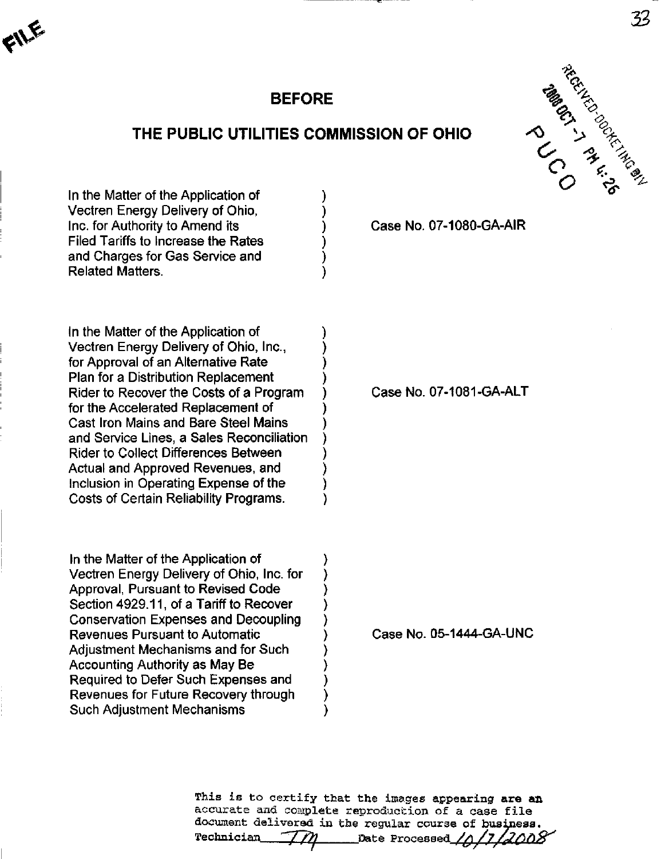

# BEFORE

## THE PUBLIC UTILITIES COMMISSION OF OHIO



In the Matter of the Application of Vectren Energy Delivery of Ohio, Inc. for Authority to Amend its Filed Tariffs to Increase the Rates and Charges for Gas Service and Related Matters.

In the Matter of the Application of Vectren Energy Delivery of Ohio, Inc., for Approval of an Alternative Rate Plan for a Distribution Replacement Rider to Recover the Costs of a Program for the Accelerated Replacement of Cast Iron Mains and Bare Steel Mains and Service Lines, a Sales Reconciliation Rider to Collect Differences Between Actual and Approved Revenues, and Inclusion in Operating Expense of the Costs of Certain Reliability Programs.

In the Matter of the Application of Vectren Energy Delivery of Ohio, Inc. for Approval, Pursuant to Revised Code Section 4929.11, of a Tariff to Recover Conservation Expenses and Decoupling Revenues Pursuant to Automatic Adjustment Mechanisms and for Such Accounting Authority as May Be Required to Defer Such Expenses and Revenues for Future Recovery through Such Adjustment Mechanisms

Case No. 07-1080-GA-AIR

Case No. 07-1081-GA-ALT

Case No. 05-1444-GA-UNC

This is to certify that the images appearing are an accurate and complete reproduction of a case file document delivered in the regular course of business.  $Technician$ Date Processed  $\angle$   $\land$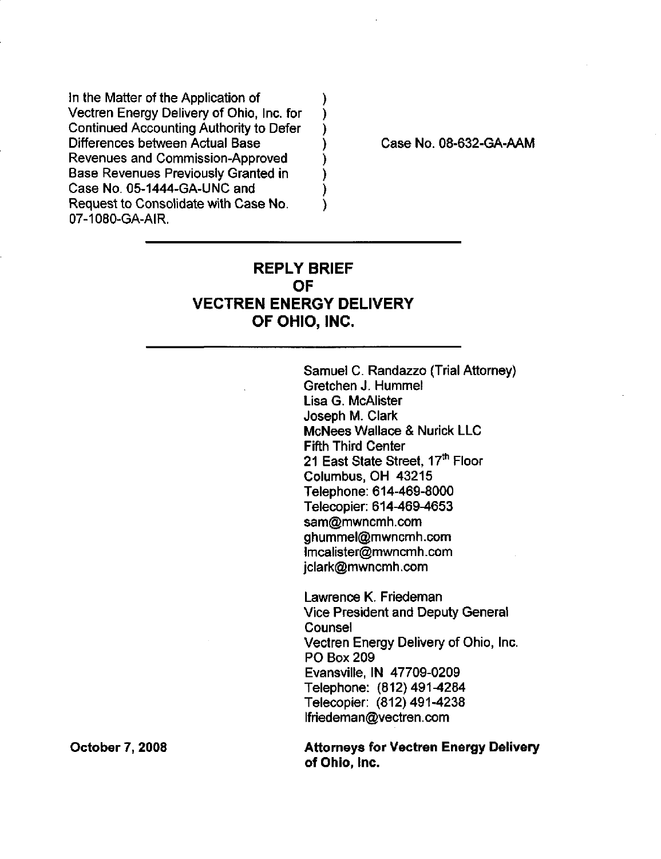In the Matter of the Application of Vectren Energy Delivery of Ohio, Inc. for Continued Accounting Authority to Defer Differences between Actual Base Revenues and Commission-Approved Base Revenues Previously Granted in Case No. 05-1444-GA-UNC and Request to Consolidate with Case No. 07-1080-GA-AIR.

Case No. 08-632-GA-AAM

# REPLY BRIEF OF VECTREN ENERGY DELIVERY OF OHIO, INC,

)  $\mathcal{C}$ 

Ì

 $\lambda$ 

Samuel C. Randazzo (Trial Attorney) Gretchen J. Hummel Lisa G. McAlister Joseph M. Clark McNees Wallace & Nurick LLC Fifth Third Center 21 East State Street, 17<sup>th</sup> Floor Columbus, OH 43215 Telephone: 614-469-8000 Telecopier: 614-469-4653 [sam@mwncmh.com](mailto:sam@mwncmh.com) [ghummel@mwncmh.com](mailto:ghummel@mwncmh.com)  [lmcalister@mwncmh.com](mailto:lmcalister@mwncmh.com)  [jclark@mwncmh.com](mailto:jclark@mwncmh.com) 

Lawrence K. Friedeman Vice President and Deputy General **Counsel** Vectren Energy Delivery of Ohio, Inc. PO Box 209 Evansville. IN 47709-0209 Telephone: (812)491^284 Telecopier: (812)491-4238 [lfriedeman@vectren.com](mailto:lfriedeman@vectren.com) 

Attorneys for Vectren Energy Delivery of Ohio, Inc.

October 7, 2008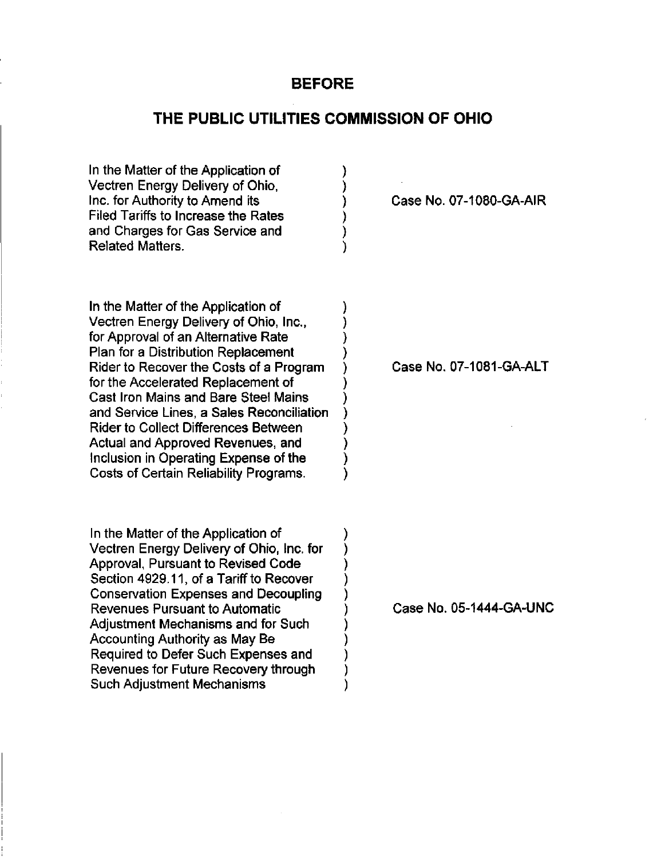## **BEFORE**

## THE PUBLIC UTILITIES COMMISSION OF OHIO

)

እ

)

) ) ì

In the Matter of the Application of Vectren Energy Delivery of Ohio, Inc. for Authority to Amend its Filed Tariffs to Increase the Rates and Charges for Gas Service and Related Matters.

In the Matter of the Application of Vectren Energy Delivery of Ohio, Inc., for Approval of an Alternative Rate Plan for a Distribution Replacement Rider to Recover the Costs of a Program for the Accelerated Replacement of Cast Iron Mains and Bare Steel Mains and Service Lines, a Sales Reconciliation Rider to Collect Differences Between Actual and Approved Revenues, and Inclusion in Operating Expense of the Costs of Certain Reliability Programs.

In the Matter of the Application of Vectren Energy Delivery of Ohio, Inc. for Approval, Pursuant to Revised Code Section 4929.11, of a Tariff to Recover Conservation Expenses and Decoupling Revenues Pursuant to Automatic Adjustment Mechanisms and for Such Accounting Authority as May Be Required to Defer Such Expenses and Revenues for Future Recovery through Such Adjustment Mechanisms

Case No. 07-1080-GA-AIR

Case No. 07-1081-GA-ALT

Case No. 05-1444-GA-UNC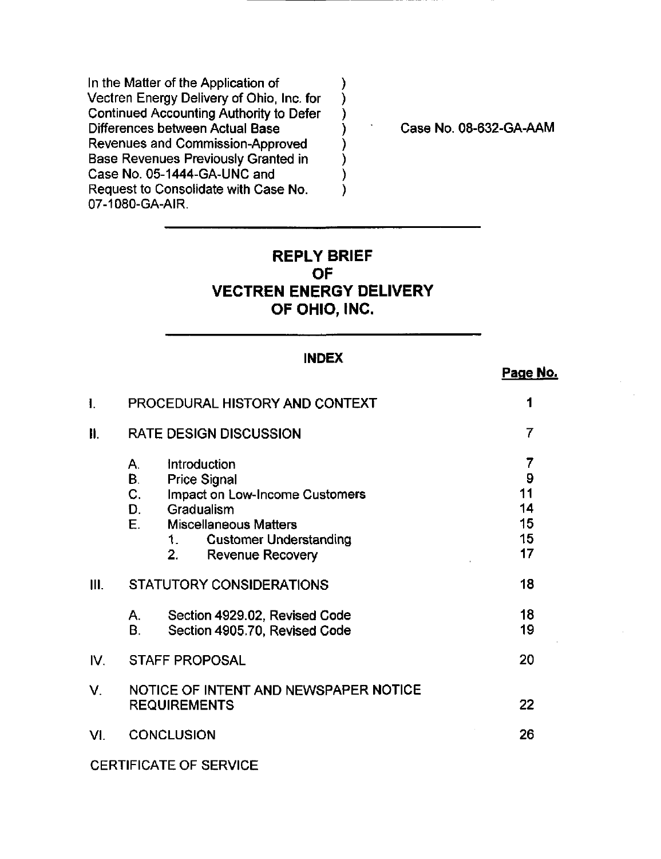In the Matter of the Application of Vectren Energy Delivery of Ohio, Inc. for Continued Accounting Authority to Defer Differences between Actual Base Revenues and Commission-Approved Base Revenues Previously Granted in Case No. 05-1444-GA-UNC and Request to Consolidate with Case No. 07-1080-GA-AIR.

Case No. 08-632-GA-AAM

Page No.

# REPLY BRIEF OF VECTREN ENERGY DELIVERY OF OHIO, INC,

 $\mathcal{Y}$ )  $\mathcal{Y}$ )

1

### INDEX

| $\mathbf{I}$ |                                                              | PROCEDURAL HISTORY AND CONTEXT                                                                                                                                                      |                                      |
|--------------|--------------------------------------------------------------|-------------------------------------------------------------------------------------------------------------------------------------------------------------------------------------|--------------------------------------|
| Ⅱ.           | <b>RATE DESIGN DISCUSSION</b>                                |                                                                                                                                                                                     | 7                                    |
|              | Α.<br>B<br>$C_{1}$<br>D.<br>E.                               | Introduction<br><b>Price Signal</b><br>Impact on Low-Income Customers<br>Gradualism<br><b>Miscellaneous Matters</b><br><b>Customer Understanding</b><br>1<br>2.<br>Revenue Recovery | 7<br>9<br>11<br>14<br>15<br>15<br>17 |
| III.         | STATUTORY CONSIDERATIONS                                     |                                                                                                                                                                                     | 18                                   |
|              | А.<br>Β.                                                     | Section 4929.02, Revised Code<br>Section 4905.70, Revised Code                                                                                                                      | 18<br>19                             |
| IV.          | <b>STAFF PROPOSAL</b>                                        |                                                                                                                                                                                     | 20                                   |
| V.           | NOTICE OF INTENT AND NEWSPAPER NOTICE<br><b>REQUIREMENTS</b> |                                                                                                                                                                                     | 22                                   |
| VI.          | <b>CONCLUSION</b>                                            |                                                                                                                                                                                     | 26                                   |

CERTIFICATE OF SERVICE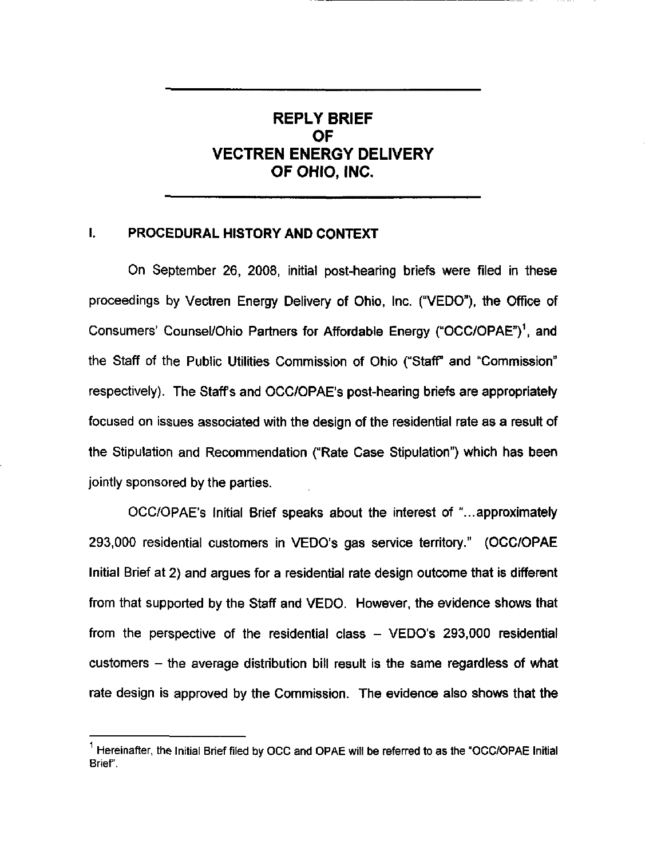# REPLY BRIEF OF VECTREN ENERGY DELIVERY OF OHIO, INC,

## I. PROCEDURAL HISTORY AND CONTEXT

On September 26, 2008, initial post-hearing briefs were filed in these proceedings by Vectren Energy Delivery of Ohio, Inc. ("VEDO"), the Office of Consumers' Counsel/Ohio Partners for Affordable Energy ("OCC/OPAE")<sup>1</sup>, and the Staff of the Public Utilities Commission of Ohio ("Staff" and "Commission" respectively). The Staff's and OCC/OPAE's post-hearing briefs are appropriately focused on issues associated with the design of the residential rate as a result of the Stipulation and Recommendation ("Rate Case Stipulation") which has been jointly sponsored by the parties.

OCC/OPAE's Initial Brief speaks about the interest of "...approximately 293,000 residential customers in VEDO's gas service territory." (OCC/OPAE Initial Brief at 2) and argues for a residential rate design outcome that is different from that supported by the Staff and VEDO. However, the evidence shows that from the perspective of the residential class  $-$  VEDO's 293,000 residential customers  $-$  the average distribution bill result is the same regardless of what rate design is approved by the Commission. The evidence also shows that the

 $^1$  Hereinafter, the Initial Brief filed by OCC and OPAE will be referred to as the "OCC/OPAE Initial Brief.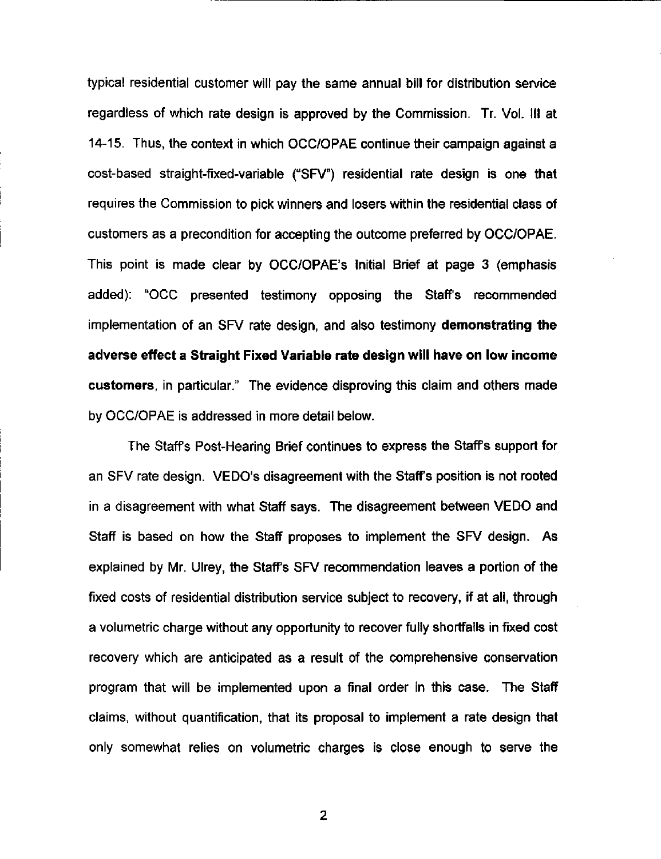typical residential customer will pay the same annual bill for distribution service regardless of which rate design is approved by the Commission. Tr. Vol. Ill at 14-15. Thus, the context in which OCC/OPAE continue their campaign against a cost-based straight-fixed-variable ("SFV") residential rate design is one that requires the Commission to pick winners and losers within the residential class of customers as a precondition for accepting the outcome preferred by OCC/OPAE. This point is made clear by OCC/OPAE's Initial Brief at page 3 (emphasis added): "OCC presented testimony opposing the Staffs recommended implementation of an SFV rate design, and also testimony demonstrating the adverse effect a Straight Fixed Variable rate design will have on low income customers, in particular." The evidence disproving this claim and others made by OCC/OPAE is addressed in more detail below.

The Staffs Post-Hearing Brief continues to express the Staffs support for an SFV rate design. VEDO's disagreement with the Staff's position is not rooted in a disagreement with what Staff says. The disagreement between VEDO and Staff is based on how the Staff proposes to implement the SFV design. As explained by Mr. Ulrey, the Staff's SFV recommendation leaves a portion of the fixed costs of residential distribution service subject to recovery, if at all, through a volumetric charge without any opportunity to recover fully shortfalls in fixed cost recovery which are anticipated as a result of the comprehensive conservation program that will be implemented upon a final order in this case. The Staff claims, without quantification, that its proposal to implement a rate design that only somewhat relies on volumetric charges is close enough to serve the

 $\overline{2}$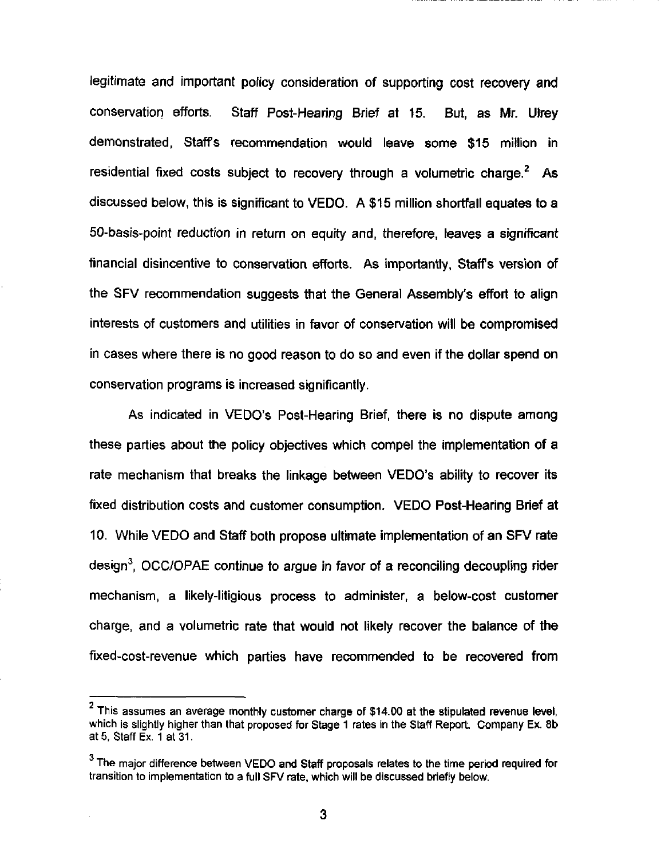legitimate and important policy consideration of supporting cost recovery and conservation efforts. Staff Post-Hearing Brief at 15. But, as Mr. Ulrey demonstrated, Staffs recommendation would leave some \$15 million in residential fixed costs subject to recovery through a volumetric charge.<sup>2</sup> As discussed below, this is significant to VEDO. A \$15 million shortfall equates to a 50-basis-point reduction in return on equity and, therefore, leaves a significant financial disincentive to conservation efforts. As importantly, Staffs version of the SFV recommendation suggests that the General Assembly's effort to align interests of customers and utilities in favor of conservation will be compromised in cases where there is no good reason to do so and even if the dollar spend on conservation programs is increased significantly.

As indicated in VEDO's Post-Hearing Brief, there is no dispute among these parties about the policy objectives which compel the implementation of a rate mechanism that breaks the linkage between VEDO's ability to recover its fixed distribution costs and customer consumption. VEDO Post-Hearing Brief at 10. While VEDO and Staff both propose ultimate implementation of an SFV rate design<sup>3</sup>, OCC/OPAE continue to argue in favor of a reconciling decoupling rider mechanism, a likely-litigious process to administer, a below-cost customer charge, and a volumetric rate that would not likely recover the balance of the fixed-cost-revenue which parties have recommended to be recovered from

<sup>2</sup>  This assumes an average monthly customer charge of \$14.00 at the stipulated revenue level, which is slightly higher than that proposed for Stage 1 rates in the Staff Report. Company Ex. 8b at 5, Staff Ex. 1 at 31.

 $3$  The major difference between VEDO and Staff proposals relates to the time period required for transition to implementation to a full SFV rate, which will be discussed briefly below.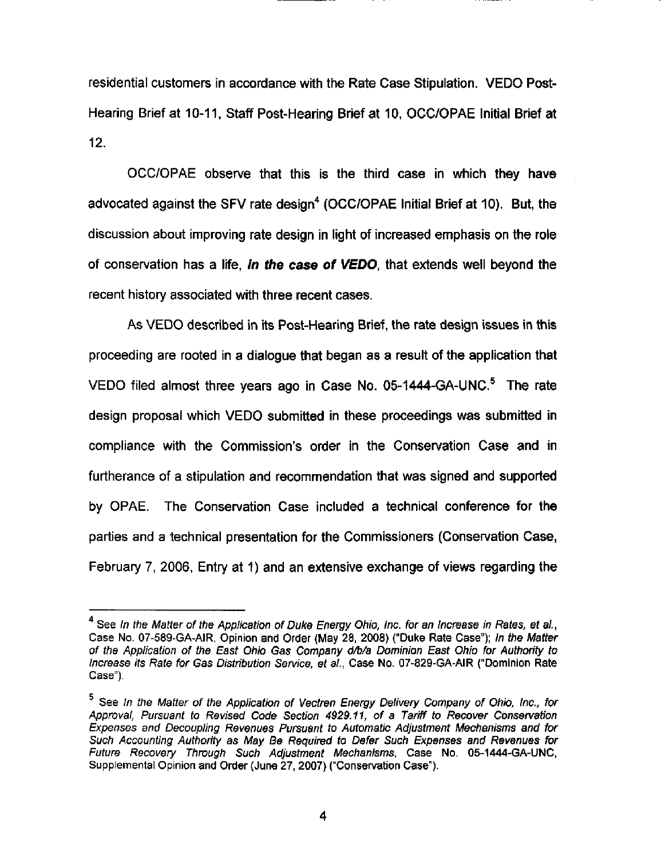residential customers in accordance with the Rate Case Stipulation, VEDO Post-Hearing Brief at 10-11, Staff Post-Hearing Brief at 10, OCC/OPAE Initial Brief at 12.

OCC/OPAE observe that this is the third case in which they have advocated against the SFV rate design<sup>4</sup> (OCC/OPAE Initial Brief at 10). But, the discussion about improving rate design in light of increased emphasis on the role of conservation has a life, in the case of VEDO, that extends well beyond the recent history associated with three recent cases.

As VEDO described in its Post-Hearing Brief, the rate design issues in this proceeding are rooted in a dialogue that began as a result of the application that VEDO filed almost three years ago in Case No. 05-1444-GA-UNC.® The rate design proposal which VEDO submitted in these proceedings was submitted in compliance with the Commission's order in the Conservation Case and in furtherance of a stipulation and recommendation that was signed and supported by OPAE. The Conservation Case included a technical conference for the parties and a technical presentation for the Commissioners (Conservation Case, February 7, 2006, Entry at 1) and an extensive exchange of views regarding the

<sup>&</sup>lt;sup>4</sup> See In the Matter of the Application of Duke Energy Ohio, Inc. for an Increase in Rates, et al., Case No. 07-589-GA-AIR, Opinion and Order (May 28, 2008) ("Duke Rate Case"); In the Matter of the Application of the East Ohio Gas Company d/b/a Dominion East Ohio for Authority to Increase Its Rate for Gas Distribution Service, et ai, Case No. 07-829-GA-AIR ("Dominion Rate Case").

<sup>&</sup>lt;sup>5</sup> See In the Matter of the Application of Vectren Energy Delivery Company of Ohio, Inc., for Approval, Pursuant to Revised Code Section 4929.11, of a Tariff to Recover Conservation Expenses and Decoupling Revenues Pursuant to Automatic Adjustment Mechanisms and for Such Accounting Authority as May Be Required to Defer Such Expenses and Revenues for Future Recovery Through Such Adjustment Mechanisms, Case No. 05-1444-GA-UNC, Supplemental Opinion and Order (June 27, 2007) ("Conservation Case").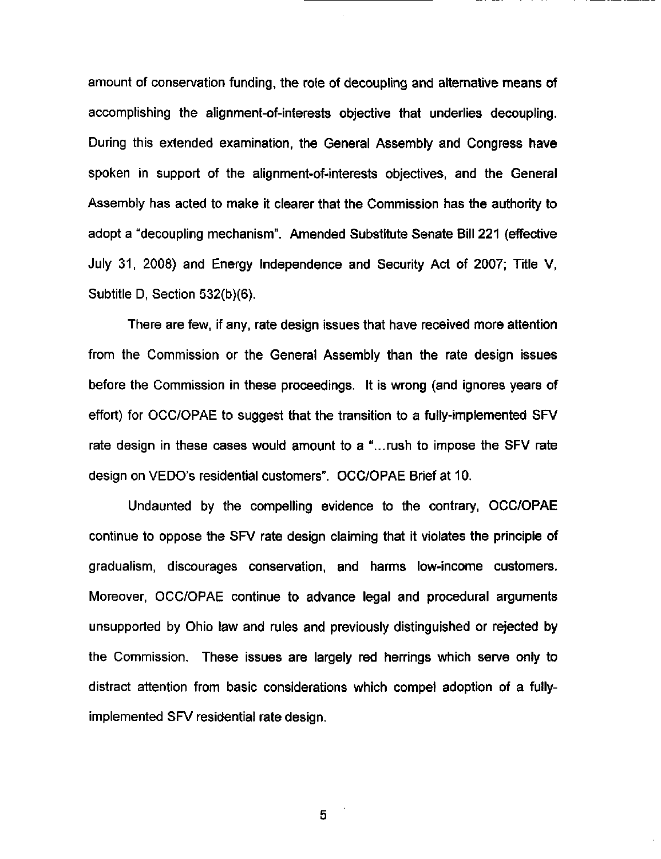amount of conservation funding, the role of decoupling and alternative means of accomplishing the alignment-of-interests objective that underiies decoupling. During this extended examination, the General Assembly and Congress have spoken in support of the alignment-of-interests objectives, and the General Assembly has acted to make it clearer that the Commission has the authority to adopt a "decoupling mechanism". Amended Substitute Senate Bill 221 (effective July 31, 2008) and Energy Independence and Security Act of 2007; Title V, Subtitle D, Section 532(b)(6).

There are few, if any, rate design issues that have received more attention from the Commission or the General Assembly than the rate design issues before the Commission in these proceedings. It is wrong (and ignores years of effort) for OCC/OPAE to suggest that the transition to a fully-implemented SFV rate design in these cases would amount to a "...rush to impose the SFV rate design on VEDO's residential customers". OCC/OPAE Brief at 10.

Undaunted by the compelling evidence to the contrary, OCC/OPAE continue to oppose the SFV rate design claiming that it violates the principle of gradualism, discourages conservation, and harms low-income customers. Moreover, OCC/OPAE continue to advance legal and procedural arguments unsupported by Ohio law and rules and previously distinguished or rejected by the Commission. These issues are largely red herrings which serve only to distract attention from basic considerations which compel adoption of a fullyimplemented SFV residential rate design.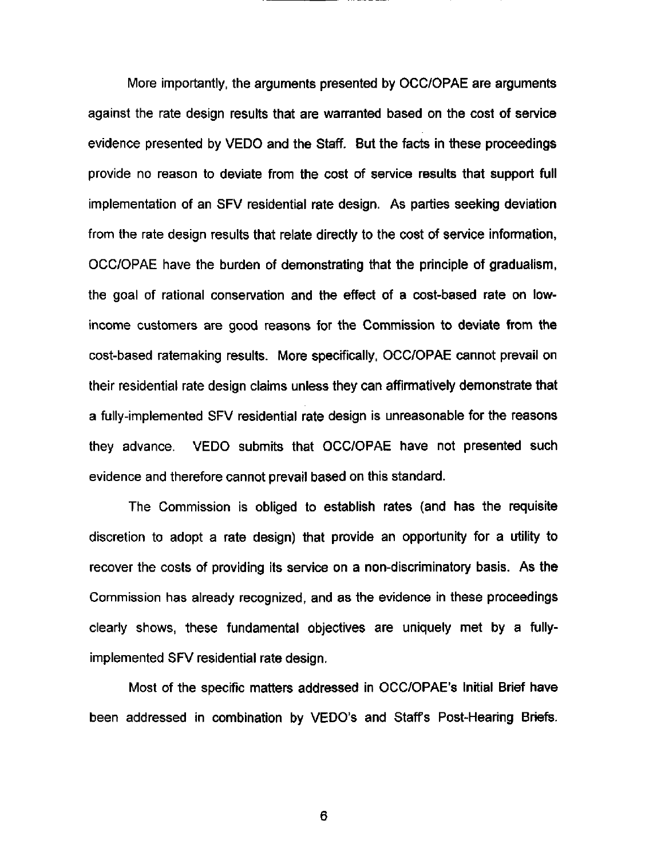More importantly, the arguments presented by OCC/OPAE are arguments against the rate design results that are warranted based on the cost of service evidence presented by VEDO and the Staff. But the facts in these proceedings provide no reason to deviate from the cost of service results that support full implementation of an SFV residential rate design. As parties seeking deviation from the rate design results that relate directly to the cost of service infonnation, OCC/OPAE have the burden of demonstrating that the principle of gradualism, the goal of rational conservation and the effect of a cost-based rate on lowincome customers are good reasons for the Commission to deviate from the cost-based ratemaking results. More specifically, OCC/OPAE cannot prevail on their residential rate design claims unless they can affimnatively demonstrate that a fully-implemented SFV residential rate design is unreasonable for the reasons they advance. VEDO submits that OCC/OPAE have not presented such evidence and therefore cannot prevail based on this standard.

The Commission is obliged to establish rates (and has the requisite discretion to adopt a rate design) that provide an opportunity for a utility to recover the costs of providing its service on a non-discriminatory basis. As the Commission has already recognized, and as the evidence in these proceedings clearly shows, these fundamental objectives are uniquely met by a fullyimplemented SFV residential rate design.

Most of the specific matters addressed in OCC/OPAE's Initial Brief have been addressed in combination by VEDO's and Staffs Post-Hearing Briefs.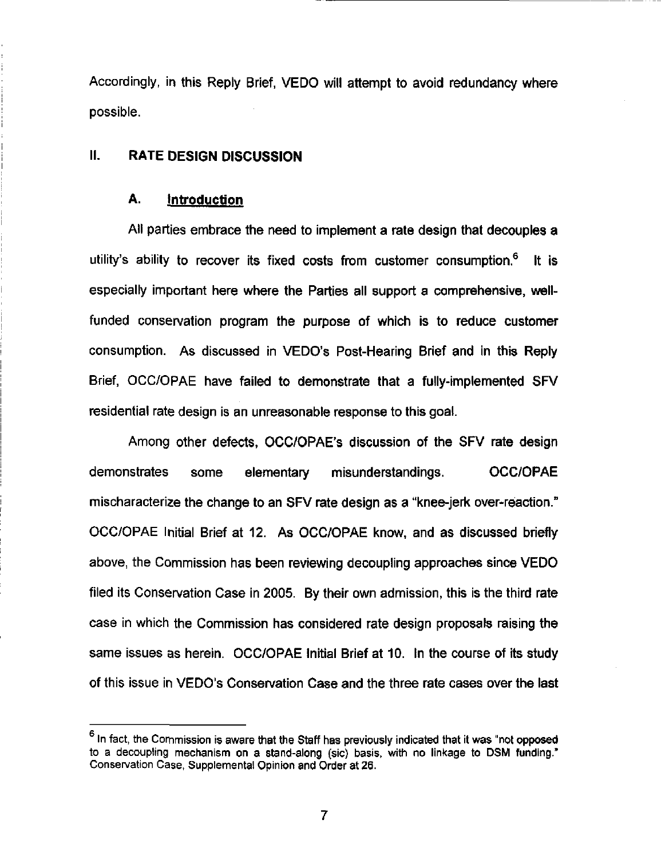Accordingly, in this Reply Brief, VEDO will attempt to avoid redundancy where possible.

### II. RATE DESIGN DISCUSSION

#### A. **Introduction**

All parties embrace the need to implement a rate design that decouples a utility's ability to recover its fixed costs from customer consumption.® It is especially important here where the Parties all support a comprehensive, wellfunded conservation program the purpose of which is to reduce customer consumption. As discussed in VEDO's Post-Hearing Brief and in this Reply Brief, OCC/OPAE have failed to demonstrate that a fully-implemented SFV residential rate design is an unreasonable response to this goal.

Among other defects, OCC/OPAE's discussion of the SFV rate design demonstrates some elementary misunderstandings. OCC/OPAE mischaracterize the change to an SFV rate design as a "knee-jerk over-reaction." OCC/OPAE Initial Brief at 12. As OCC/OPAE know, and as discussed briefly above, the Commission has been reviewing decoupling approaches since VEDO filed its Conservation Case in 2005. By their own admission, this is the third rate case in which the Commission has considered rate design proposals raising the same issues as herein. OCC/OPAE Initial Brief at 10. In the course of its study of this issue in VEDO's Conservation Case and the three rate cases over the last

 $<sup>6</sup>$  In fact, the Commission is aware that the Staff has previously indicated that it was "not opposed</sup> to a decoupling mechanism on a stand-along (sic) basis, with no linkage to DSM funding." Conservation Case, Supplemental Opinion and Order at 26.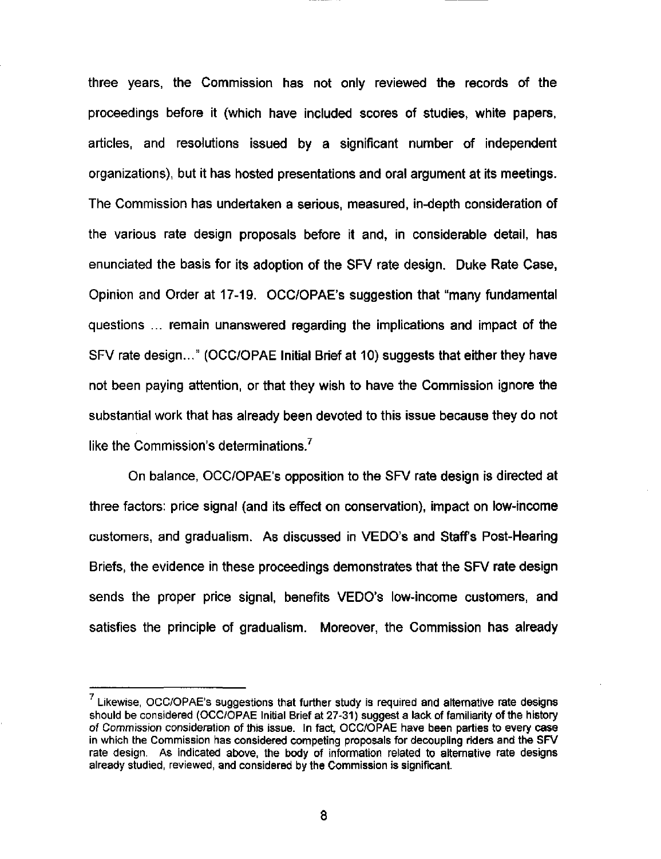three years, the Commission has not only reviewed the records of the proceedings before it (which have included scores of studies, white papers, articles, and resolutions issued by a significant number of independent organizations), but it has hosted presentations and oral argument at its meetings. The Commission has undertaken a serious, measured, in-depth consideration of the various rate design proposals before it and, in considerable detail, has enunciated the basis for its adoption of the SFV rate design. Duke Rate Case, Opinion and Order at 17-19. OCC/OPAE's suggestion that "many fundamental questions ... remain unanswered regarding the implications and impact of the SFV rate design..." (OCC/OPAE Initial Brief at 10) suggests that either they have not been paying attention, or that they wish to have the Commission ignore the substantial work that has already been devoted to this issue because they do not like the Commission's determinations.<sup> $7$ </sup>

On balance, OCC/OPAE's opposition to the SFV rate design is directed at three factors: price signal (and its effect on conservation), impact on low-income customers, and gradualism. As discussed in VEDO's and Staff's Post-Hearing Briefs, the evidence in these proceedings demonstrates that the SFV rate design sends the proper price signal, benefits VEDO's low-income customers, and satisfies the principle of gradualism. Moreover, the Commission has already

 $7$  Likewise, OCC/OPAE's suggestions that further study is required and alternative rate designs should be considered (OCC/OPAE Initial Brief at 27-31) suggest a lack of familiarity of the history of Commission consideration of this issue. In fact, OCC/OPAE have been parties to every case in which the Commission has considered competing proposals for decoupling riders and the SFV rate design. As indicated above, the body of information related to alternative rate designs already studied, reviewed, and considered by the Commission is significant.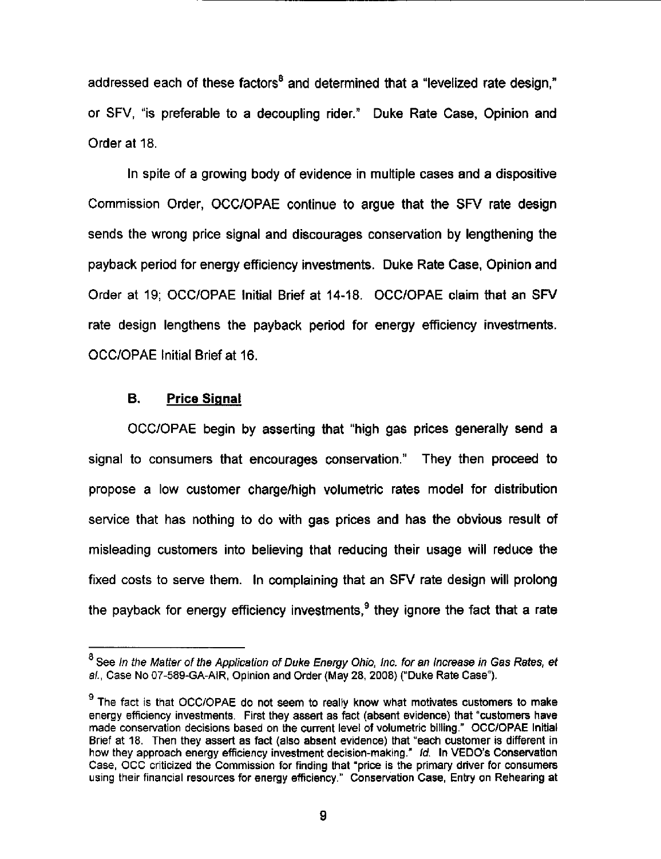addressed each of these factors<sup>8</sup> and determined that a "levelized rate design," or SFV, "is preferable to a decoupling rider." Duke Rate Case, Opinion and Order at 18.

In spite of a growing body of evidence in multiple cases and a dispositive Commission Order, OCC/OPAE continue to argue that the SFV rate design sends the wrong price signal and discourages conservation by lengthening the payback period for energy efficiency investments. Duke Rate Case, Opinion and Order at 19; OCC/OPAE Initial Brief at 14-18. OCC/OPAE claim that an SFV rate design lengthens the payback period for energy efficiency investments. OCC/OPAE Initial Brief at 16.

#### B, Price Signal

OCC/OPAE begin by asserting that "high gas prices generally send a signal to consumers that encourages conservation." They then proceed to propose a low customer charge/high volumetric rates model for distribution service that has nothing to do with gas prices and has the obvious result of misleading customers into believing that reducing their usage will reduce the fixed costs to serve them. In complaining that an SFV rate design will prolong the payback for energy efficiency investments. $<sup>9</sup>$  they ignore the fact that a rate</sup>

 $^8$  See In the Matter of the Application of Duke Energy Ohio, Inc. for an Increase in Gas Rates, et al., Case No 07-589-GA-AIR, Opinion and Order (May 28, 2008) ("Duke Rate Case").

<sup>&</sup>lt;sup>9</sup> The fact is that OCC/OPAE do not seem to really know what motivates customers to make energy efficiency investments. First they assert as feet (absent evidence) that "customers have made conservation decisions based on the current level of volumetric billing." OCC/OPAE Initial Brief at 18. Then they assert as fact (also absent evidence) that "each customer is different in how they approach energy efficiency investment decision-making." Id. In VEDO's Conservation Case, OCC criticized the Commission for finding that "price is the primary driver for consumers using their financial resources for energy efficiency." Conservation Case, Entry on Rehearing at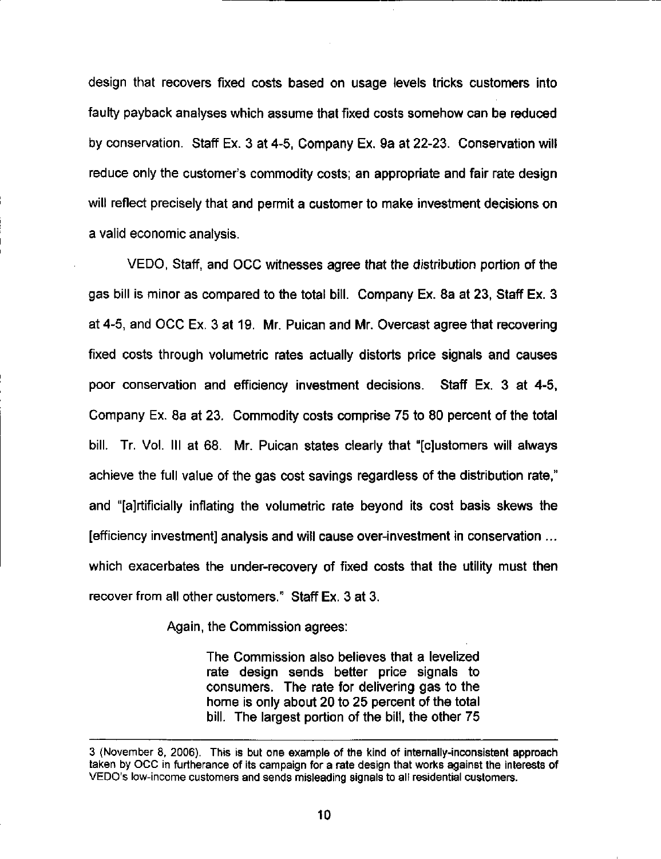design that recovers fixed costs based on usage levels tricks customers into faulty payback analyses which assume that fixed costs somehow can be reduced by conservation. Staff Ex. 3 at 4-5, Company Ex. 9a at 22-23. Conservation will reduce only the customer's commodity costs; an appropriate and fair rate design will reflect precisely that and permit a customer to make investment decisions on a valid economic analysis.

VEDO, Staff, and OCC witnesses agree that the distribution portion of the gas bill is minor as compared to the total bill. Company Ex. 8a at 23, Staff Ex. 3 at 4-5, and OCC Ex. 3 at 19. Mr. Puican and Mr. Overcast agree that recovering fixed costs through volumetric rates actually distorts price signals and causes poor conservation and efficiency investment decisions. Staff Ex. 3 at 4-5, Company Ex. 8a at 23. Commodity costs comprise 75 to 80 percent of the total bill. Tr. Vol. Ill at 68. Mr. Puican states clearly that "[c]ustomers will always achieve the full value of the gas cost savings regardless of the distribution rate," and "[ajrtificially inflating the volumetric rate beyond its cost basis skews the [efficiency investment] analysis and will cause over-investment in conservation ... which exacerbates the under-recovery of fixed costs that the utility must then recover from all other customers." Staff Ex. 3 at 3.

Again, the Commission agrees:

The Commission also believes that a levelized rate design sends betfer price signals to consumers. The rate for delivering gas to the home is only about 20 to 25 percent of the total bill. The largest portion of the bill, the other 75

<sup>3 (</sup>November 8, 2006). This is but one example of the kind of internally-inconsistent approach taken by OCC in furtherance of its campaign for a rate design that works against the interests of VEDO's low-income customers and sends misleading signals to all residential customers.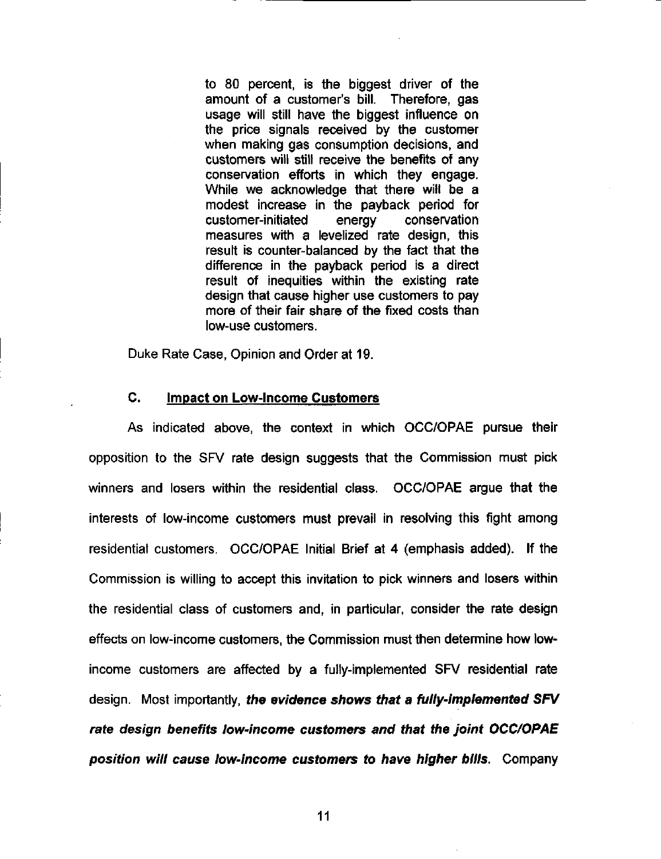to 80 percent, is the biggest driver of the amount of a customer's bill. Therefore, gas usage will still have the biggest influence on the price signals received by the customer when making gas consumption decisions, and customers will still receive the benefits of any conservation efforts in which they engage. While we acknowledge that there will be a modest increase in the payback period for customer-initiated energy conservation measures with a levelized rate design, this result is counter-balanced by the fact that the difference in the payback period is a direct result of inequities within the existing rate design that cause higher use customers to pay more of their fair share of the fixed costs than low-use customers.

Duke Rate Case, Opinion and Order at 19.

#### C. Impact on Low-Income Customers

As indicated above, the context in which OCC/OPAE pursue their opposition to the SFV rate design suggests that the Commission must pick winners and losers within the residential class. OCC/OPAE argue that the interests of low-income customers must prevail in resolving this fight among residential customers. OCC/OPAE Initial Brief at 4 (emphasis added). If the Commission is willing to accept this invitation to pick winners and losers within the residential class of customers and, in particular, consider the rate design effects on low-income customers, the Commission must then determine how lowincome customers are affected by a fully-implemented SFV residential rate design. Most importantly, the evidence shows that a fully-implemented SFV rate design benefits iow-income customers and that the Joint OCC/OPAE position will cause low-income customers to have higher bills. Company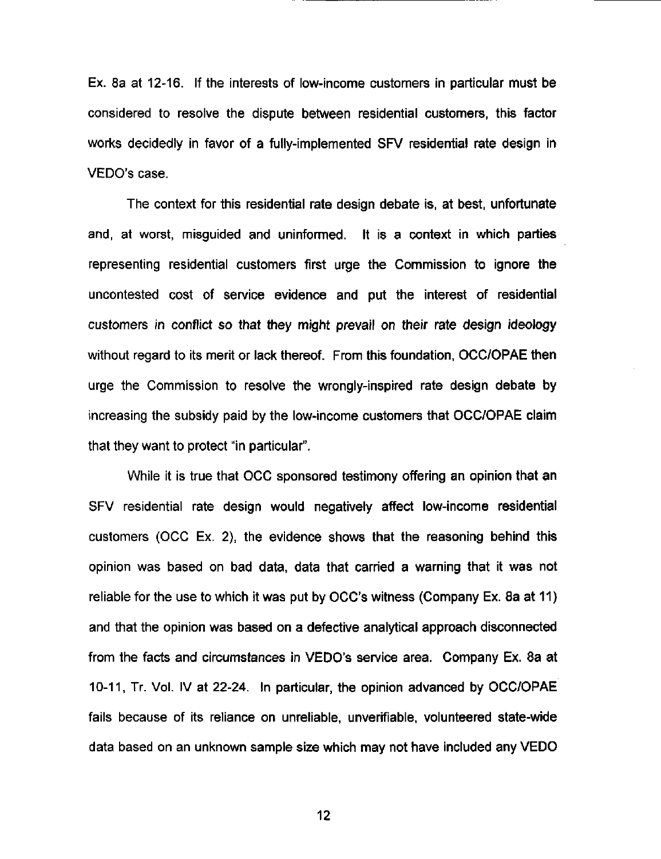Ex. 8a at 12-16. If the interests of low-income customers in particular must be considered to resolve the dispute between residential customers, this factor works decidedly in favor of a fully-implemented SFV residential rate design in VEDO's case.

The context for this residential rate design debate is, at best, unfortunate and, at worst, misguided and uninformed. It is a context in which parties representing residential customers first urge the Commission to ignore the uncontested cost of service evidence and put the interest of residential customers in conflict so that they might prevail on their rate design ideology without regard to its merit or lack thereof. From this foundation, OCC/OPAE then urge the Commission to resolve the wrongly-inspired rate design debate by increasing the subsidy paid by the low-income customers that OCC/OPAE claim that they want to protect "in particular".

While it is true that OCC sponsored testimony offering an opinion that an SFV residential rate design would negatively affect low-income residential customers (OCC Ex. 2), the evidence shows that the reasoning behind this opinion was based on bad data, data that carried a warning that it was not reliable for the use to which it was put by OCC's witness (Company Ex. 8a at 11) and that the opinion was based on a defective analytical approach disconnected from the facts and circumstances in VEDO's service area. Company Ex. 8a at 10-11, Tr. Vol. IV at 22-24. In particular, the opinion advanced by OCC/OPAE fails because of its reliance on unreliable, unverifiable, volunteered state-wide data based on an unknown sample size which may not have included any VEDO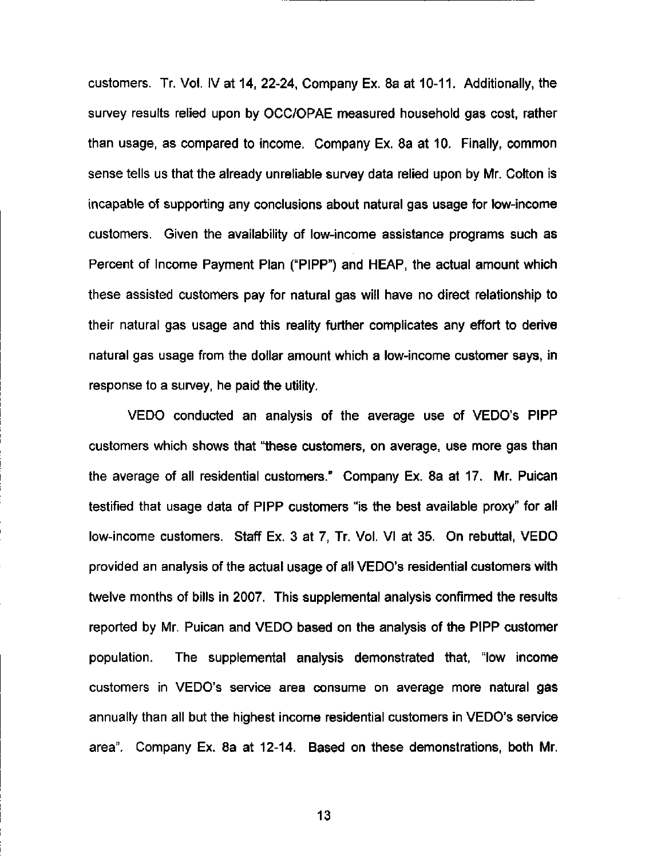customers. Tr. Vol. IV at 14, 22-24, Company Ex. 8a at 10-11. Additionally, the survey results relied upon by OCC/OPAE measured household gas cost, rather than usage, as compared to income. Company Ex. 8a at 10. Finally, common sense tells us that the already unreliable survey data relied upon by Mr. Colton is incapable of supporting any conclusions about natural gas usage for low-income customers. Given the availability of low-income assistance programs such as Percent of Income Payment Plan ("PIPP") and HEAP, the actual amount which these assisted customers pay for natural gas will have no direct relationship to their natural gas usage and this reality further complicates any effort to derive natural gas usage from the dollar amount which a low-income customer says, in response to a survey, he paid the utility.

VEDO conducted an analysis of the average use of VEDO's PIPP customers which shows that "these customers, on average, use more gas than the average of all residential customers." Company Ex. 8a at 17. Mr. Puican testified that usage data of PIPP customers "is the best available proxy" for all low-income customers. Staff Ex. 3 at 7, Tr. Vol. VI at 35. On rebuttal, VEDO provided an analysis of the actual usage of all VEDO's residential customers with twelve months of bills in 2007. This supplemental analysis confirmed the results reported by Mr. Puican and VEDO based on the analysis of the PIPP customer population. The supplemental analysis demonstrated that, "low income customers in VEDO's service area consume on average more natural gas annually than all but the highest income residential customers in VEDO's service area". Company Ex. 8a at 12-14. Based on these demonstrations, both Mr.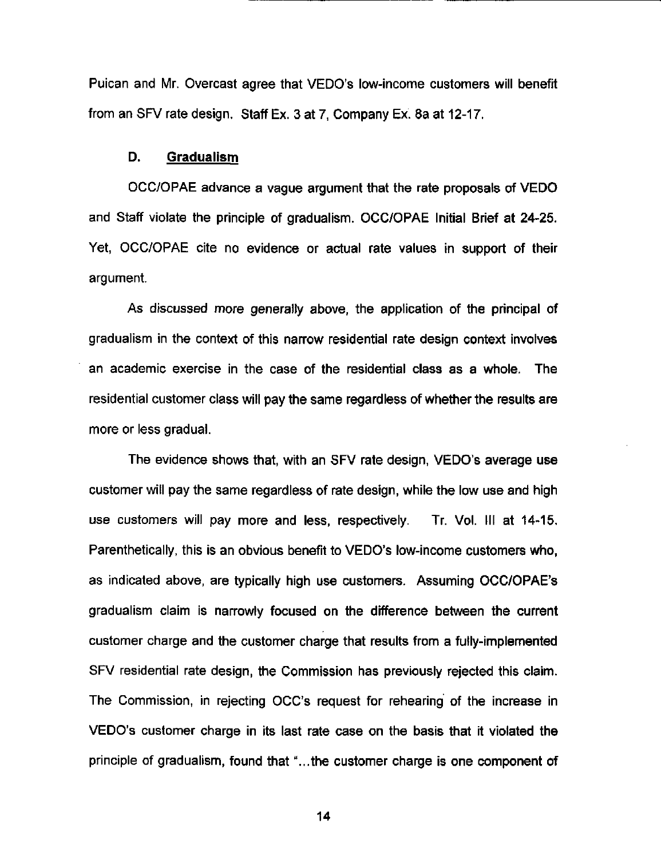Puican and Mr. Overcast agree that VEDO's low-income customers will benefit from an SFV rate design. Staff Ex. 3 at 7, Company Ex. 8a at 12-17.

#### D. Gradualism

OCC/OPAE advance a vague argument that the rate proposals of VEDO and Staff violate the principle of gradualism. OCC/OPAE Initial Brief at 24-25. Yet, OCC/OPAE cite no evidence or actual rate values in support of their argument.

As discussed more generally above, the application of the principal of gradualism in the context of this narrow residential rate design context involves an academic exercise in the case of the residential class as a whole. The residential customer class will pay the same regardless of whether the results are more or less gradual.

The evidence shows that, with an SFV rate design, VEDO's average use customer will pay the same regardless of rate design, while the low use and high use customers will pay more and less, respectively. Tr. Vol. Ill at 14-15. Parenthetically, this is an obvious benefit to VEDO's low-income customers who, as indicated above, are typically high use customers. Assuming OCC/OPAE's gradualism claim is narrowly focused on the difference between the current customer charge and the customer charge that results from a fully-implemented SFV residential rate design, the Commission has previously rejected this claim. The Commission, in rejecting OCC's request for rehearing of the increase in VEDO's customer charge in its last rate case on the basis that it violated the principle of gradualism, found that "...the customer charge is one component of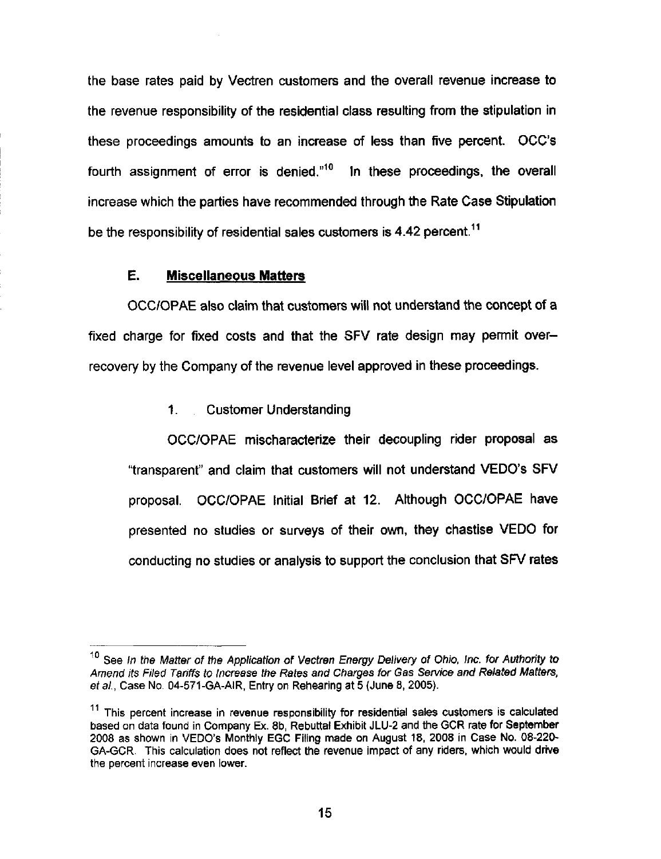the base rates paid by Vectren customers and the overall revenue increase to the revenue responsibility of the residential class resulting from the stipulation in these proceedings amounts to an increase of less than five percent. OCC's fourth assignment of error is denied. $10^{\circ}$  In these proceedings, the overall increase which the parties have recommended through the Rate Case Stipulation be the responsibility of residential sales customers is 4.42 percent.<sup>11</sup>

### E. Miscellaneous Matters

OCC/OPAE also claim that customers will not understand the concept of a fixed charge for fixed costs and that the SFV rate design may permit overrecovery by the Company of the revenue level approved in these proceedings.

1. Customer Understanding

OCC/OPAE mischaracterize their decoupling rider proposal as "transparent" and claim that customers will not understand VEDO's SFV proposal. OCC/OPAE Initial Brief at 12. Although OCC/OPAE have presented no studies or surveys of their own, they chastise VEDO for conducting no studies or analysis to support the conclusion that SFV rates

<sup>&</sup>lt;sup>10</sup> See In the Matter of the Application of Vectren Energy Delivery of Ohio, Inc. for Authority to Amend its Filed Tariffs to Increase the Rates and Charges for Gas Service and Related Matters. et a!., Case No. 04-571-GA-AIR, Entry on Rehearing at 5 (June 8, 2005).

 $11$  This percent increase in revenue responsibility for residential sales customers is calculated based on data found in Company Ex. 8b, Rebuttal Exhibit JLU-2 and the GCR rate for September 2008 as shown in VEDO's Monthly EGC Filing made on August 18, 2008 in Case No. 08-220- GA-GCR. This calculation does not reflect the revenue impact of any riders, which would drive the percent increase even lower.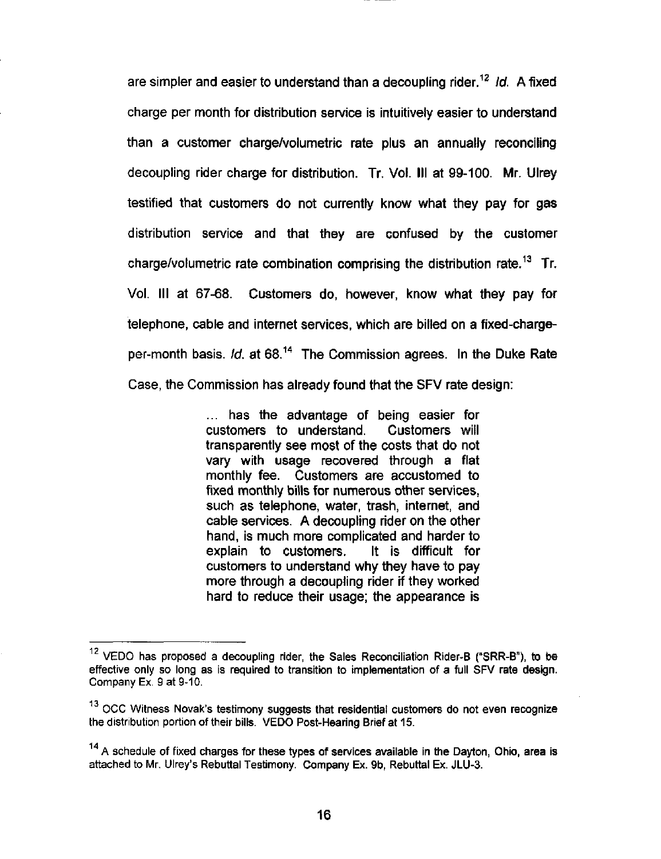are simpler and easier to understand than a decoupling rider.<sup>12</sup> Id. A fixed charge per month for distribution service is intuitively easier to understand than a customer charge/volumetric rate plus an annually reconciling decoupling rider charge for distribution. Tr. Vol. Ill at 99-100. Mr. Ulrey testified that customers do not currently know what they pay for gas distribution service and that they are confused by the customer charge/volumetric rate combination comprising the distribution rate.<sup>13</sup> Tr. Vol. Ill at 67-68. Customers do, however, know what they pay for telephone, cable and internet services, which are billed on a fixed-chargeper-month basis. Id. at 68.<sup>14</sup> The Commission agrees. In the Duke Rate Case, the Commission has already found that the SFV rate design:

> ... has the advantage of being easier for customers to understand. Customers will transparently see most of the costs that do not vary with usage recovered through a flat monthly fee. Customers are accustomed to fixed monthly bills for numerous other services, such as telephone, water, trash, internet, and cable services. A decoupling rider on the other hand, is much more complicated and harder to explain to customers. It is difficult for customers to understand why they have to pay more through a decoupling rider if they worked hard to reduce their usage; the appearance is

 $12$  VEDO has proposed a decoupling rider, the Sales Reconciliation Rider-B ("SRR-B"), to be effective only so long as is required to transition to implementation of a full SFV rate design. Company Ex, 9 at 9-10.

<sup>&</sup>lt;sup>13</sup> OCC Witness Novak's testimony suggests that residential customers do not even recognize the distribution portion of their bills. VEDO Post-Hearing Brief at 15.

 $14$  A schedule of fixed charges for these types of services available in the Dayton, Ohio, area is attached to Mr. Ulrey's Rebuttal Testimony. Company Ex. 9b, Rebuttal Ex. JLU-3.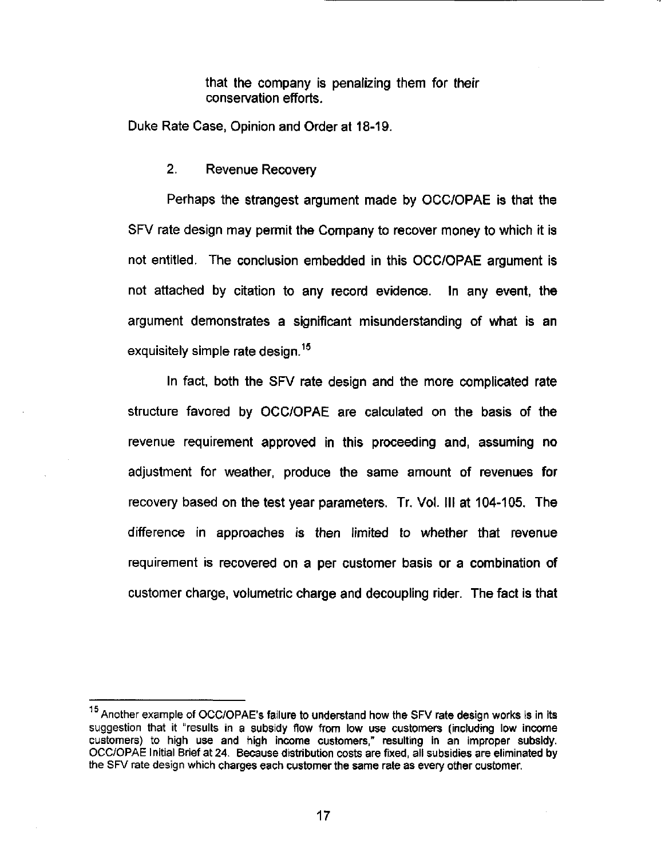that the company is penalizing them for their conservation efforts.

Duke Rate Case, Opinion and Order at 18-19.

2. Revenue Recovery

Perhaps the strangest argument made by OCC/OPAE is that the SFV rate design may permit the Company to recover money to which it is not entitled. The conclusion embedded in this OCC/OPAE argument is not attached by citation to any record evidence. In any event, the argument demonstrates a significant misunderstanding of what is an exquisitely simple rate design.<sup>15</sup>

In fact, both the SFV rate design and the more complicated rate structure favored by OCC/OPAE are calculated on the basis of the revenue requirement approved in this proceeding and, assuming no adjustment for weather, produce the same amount of revenues for recovery based on the test year parameters. Tr. Vol. Ill at 104-105. The difference in approaches is then limited to whether that revenue requirement is recovered on a per customer basis or a combination of customer charge, volumetric charge and decoupling rider. The fact is that

<sup>&</sup>lt;sup>15</sup> Another example of OCC/OPAE's failure to understand how the SFV rate design works is in its suggestion that it "results in a subsidy flow from low use customers (including low income customers) to high use and high income customers," resulting in an improper subsidy. OCC/OPAE Initial Brief at 24. Because distribution costs are fixed, all subsidies are eliminated by the SFV rate design which charges each customer the same rate as every other customer.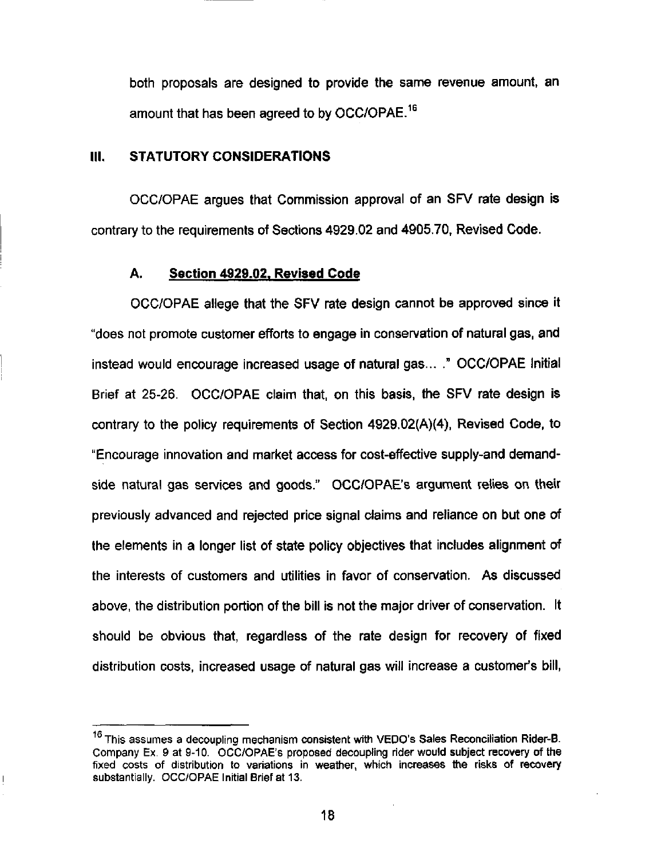both proposals are designed to provide the same revenue amount, an amount that has been agreed to by OCC/OPAE.<sup>16</sup>

#### III. STATUTORY CONSIDERATIONS

OCC/OPAE argues that Commission approval of an SFV rate design is contrary to the requirements of Sections 4929.02 and 4905.70, Revised Code.

#### A. Section 4929-02. Revised Code

OCC/OPAE allege that the SFV rate design cannot be approved since it "does not promote customer efforts to engage in conservation of natural gas, and instead would encourage increased usage of natural gas... ." OCC/OPAE Initial Brief at 25-26. OCC/OPAE claim that, on this basis, the SFV rate design is contrary to the policy requirements of Section 4929.02(A)(4), Revised Code, to "Encourage innovation and market access for cost-effective supply-and demandside natural gas services and goods." OCC/OPAE's argument relies on their previously advanced and rejected price signal claims and reliance on but one of the elements in a longer list of state policy objectives that includes alignment of the interests of customers and utilities in favor of conservation. As discussed above, the distribution portion of the bill is not the major driver of conservation. It should be obvious that, regardless of the rate design for recovery of fixed distribution costs. Increased usage of natural gas will increase a customer's bill,

<sup>&</sup>lt;sup>16</sup> This assumes a decoupling mechanism consistent with VEDO's Sales Reconciliation Rider-B. Company Ex. 9 at 9-10. OCC/OPAE's proposed decoupling rider would subject recovery of the fixed costs of distribution to variations in weather, which increases the risks of recovery substantially. OCC/OPAE Initial Brief at 13.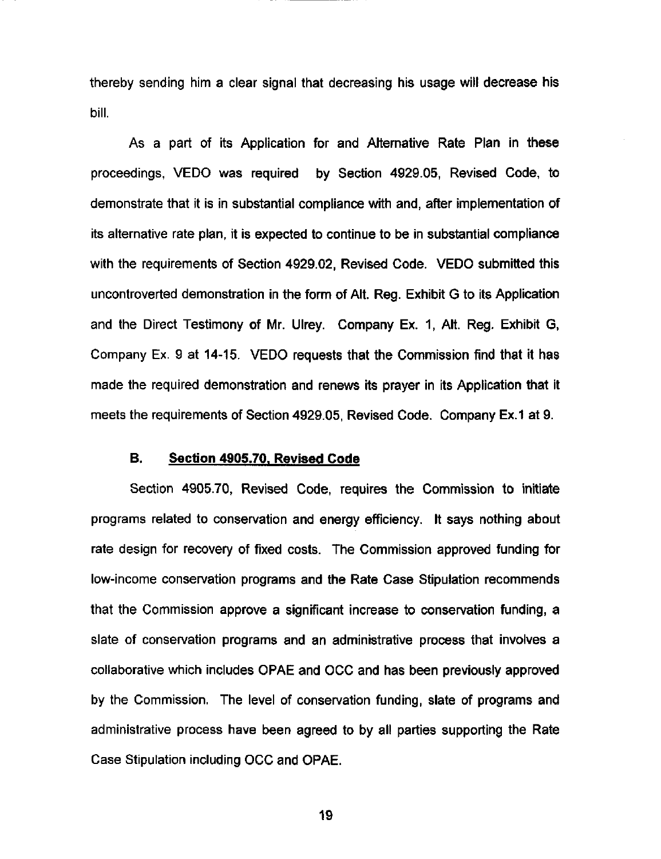thereby sending him a clear signal that decreasing his usage will decrease his bill.

As a part of its Application for and Alternative Rate Plan in these proceedings, VEDO was required by Section 4929.05, Revised Code, to demonstrate that it is in substantial compliance with and, after implementation of its alternative rate plan, It is expected to continue to be in substantial compliance with the requirements of Section 4929.02, Revised Code. VEDO submitted this uncontroverted demonstration in the form of Alt. Reg. Exhibit G to its Application and the Direct Testimony of Mr. Ulrey. Company Ex. 1, Alt. Reg. Exhibit G, Company Ex. 9 at 14-15. VEDO requests that the Commission find that it has made the required demonstration and renews its prayer in its Application that it meets the requirements of Section 4929.05, Revised Code. Company Ex.1 at 9.

#### B. Section 4905.70. Revised Code

Section 4905.70, Revised Code, requires the Commission to initiate programs related to conservation and energy efficiency. It says nothing about rate design for recovery of fixed costs. The Commission approved funding for low-Income conservation programs and the Rate Case Stipulation recommends that the Commission approve a significant increase to conservation funding, a slate of conservation programs and an administrative process that involves a collaborative which includes OPAE and OCC and has been previously approved by the Commission. The level of conservation funding, slate of programs and administrative process have been agreed to by all parties supporting the Rate Case Stipulation including OCC and OPAE.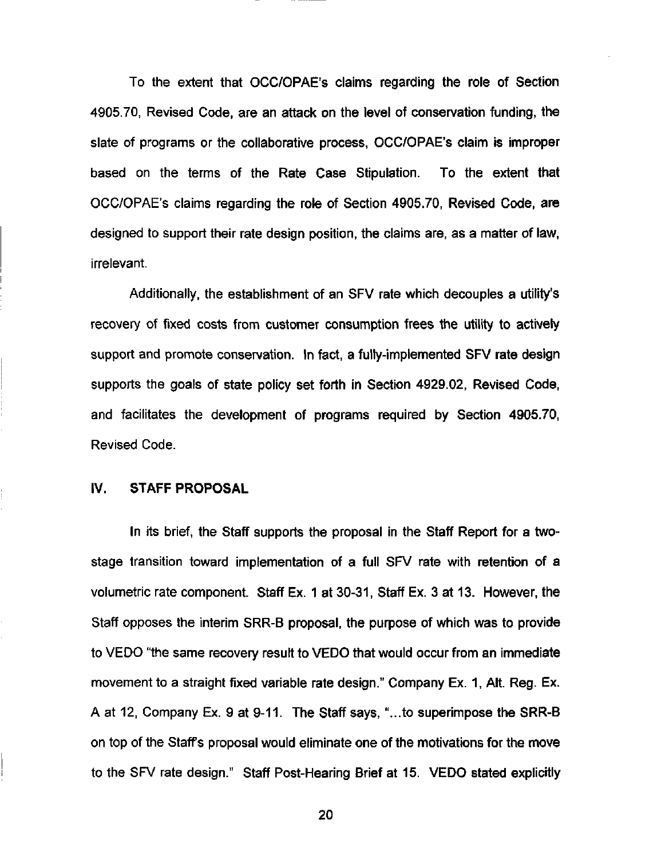To the extent that OCC/OPAE's claims regarding the role of Section 4905.70, Revised Code, are an attack on the level of conservation funding, the slate of programs or the collaborative process, OCC/OPAE's claim is improper based on the terms of the Rate Case Stipulation. To the extent that OCC/OPAE's claims regarding the role of Section 4905.70, Revised Code, are designed to support their rate design position, the claims are, as a matter of law, irrelevant.

Additionally, the establishment of an SFV rate which decouples a utility's recovery of fixed costs from customer consumption frees the utility to actively support and promote conservation. In fact, a fully-implemented SFV rate design supports the goals of state policy set forth in Section 4929.02, Revised Code, and facilitates the development of programs required by Section 4905.70, Revised Code.

### iV. STAFF PROPOSAL

In its brief, the Staff supports the proposal in the Staff Report for a twostage transition toward implementation of a full SFV rate with retention of a volumetric rate component. Staff Ex. 1 at 30-31, Staff Ex. 3 at 13. However, the Staff opposes the interim SRR-B proposal, the purpose of which was to provide to VEDO "the same recovery result to VEDO that would occur from an immediate movement to a straight fixed variable rate design." Company Ex. 1, Alt. Reg. Ex. A at 12, Company Ex. 9 at 9-11. The Staff says, "...to superimpose the SRR-B on top of the Staffs proposal would eliminate one of the motivations for the move to the SFV rate design." Staff Post-Hearing Brief at 15. VEDO stated explicitly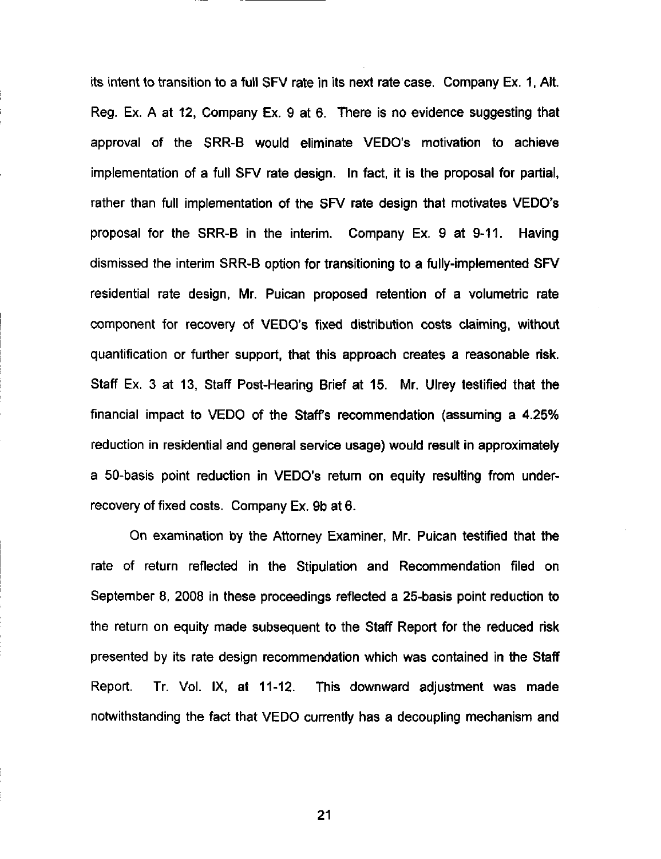its intent to transition to a full SFV rate in its next rate case. Company Ex. 1, Alt. Reg. Ex. A at 12, Company Ex. 9 at 6. There is no evidence suggesting that approval of the SRR-B would eliminate VEDO's motivation to achieve implementation of a full SFV rate design. In fact, it is the proposal for partial, rather than full implementation of the SFV rate design that motivates VEDO's proposal for the SRR-B in the interim. Company Ex. 9 at 9-11. Having dismissed the interim SRR-B option for transitioning to a fully-implemented SFV residential rate design, Mr. Puican proposed retention of a volumetric rate component for recovery of VEDO's fixed distribution costs claiming, without quantification or further support, that this approach creates a reasonable risk. Staff Ex. 3 at 13, Staff Post-Hearing Brief at 15. Mr. Ulrey testified that the financial impact to VEDO of the Staff's recommendation (assuming a 4.25% reduction in residential and general service usage) would result in approximately a 50-basis point reduction in VEDO's return on equity resulting from underrecovery of fixed costs. Company Ex. 9b at 6.

On examination by the Attorney Examiner, Mr. Puican testified that the rate of return reflected in the Stipulation and Recommendation filed on September 8, 2008 In these proceedings reflected a 25-basis point reduction to the return on equity made subsequent to the Staff Report for the reduced risk presented by its rate design recommendation which was contained in the Staff Report. Tr. Vol. IX, at 11-12. This downward adjustment was made notwithstanding the fact that VEDO currently has a decoupling mechanism and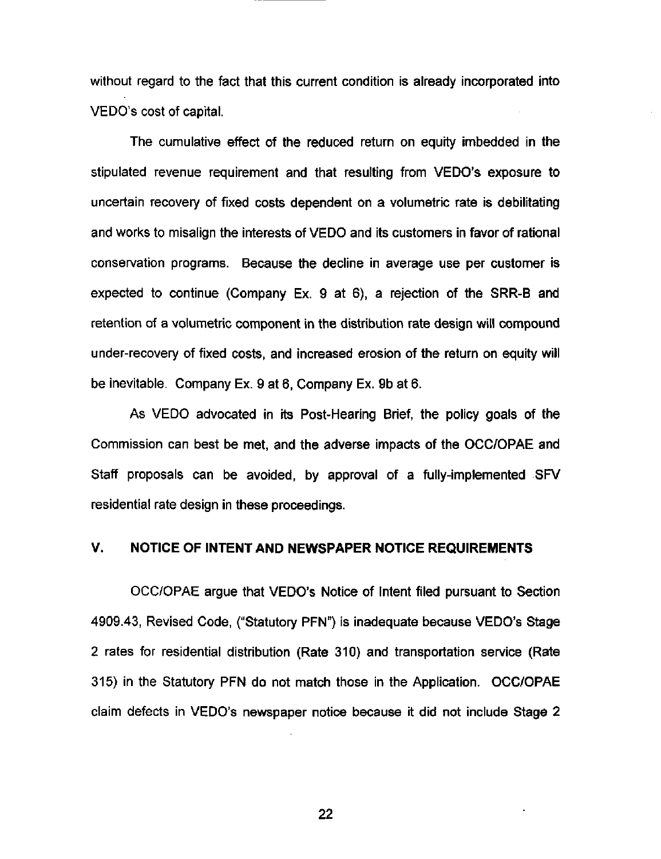without regard to the fact that this current condition is already incorporated into VEDO's cost of capital.

The cumulative effect of the reduced return on equity imbedded in the stipulated revenue requirement and that resulfing from VEDO's exposure to uncertain recovery of fixed costs dependent on a volumetric rate is debilitating and works to misalign the interests of VEDO and its customers in favor of rational conservation programs. Because the decline in average use per customer is expected to continue (Company Ex. 9 at 6), a rejection of the SRR-B and retention of a volumetric component in the distribution rate design will compound under-recovery of fixed costs, and increased erosion of the return on equity will be Inevitable. Company Ex. 9 at 6, Company Ex. 9b at 6.

As VEDO advocated in its Post-Hearing Brief, the policy goals of the Commission can best be met, and the adverse impacts of the OCC/OPAE and Staff proposals can be avoided, by approval of a fully-implemented SFV residential rate design in these proceedings.

#### V. NOTICE OF INTENT AND NEWSPAPER NOTICE REQUIREMENTS

OCC/OPAE argue that VEDO's Notice of Intent filed pursuant to Section 4909.43, Revised Code, ("Statutory PFN") Is inadequate because VEDO's Stage 2 rates for residential distribution (Rate 310) and transportation service (Rate 315) in the Statutory PFN do not match those in the Application. OCC/OPAE claim defects In VEDO's newspaper notice because it did not include Stage 2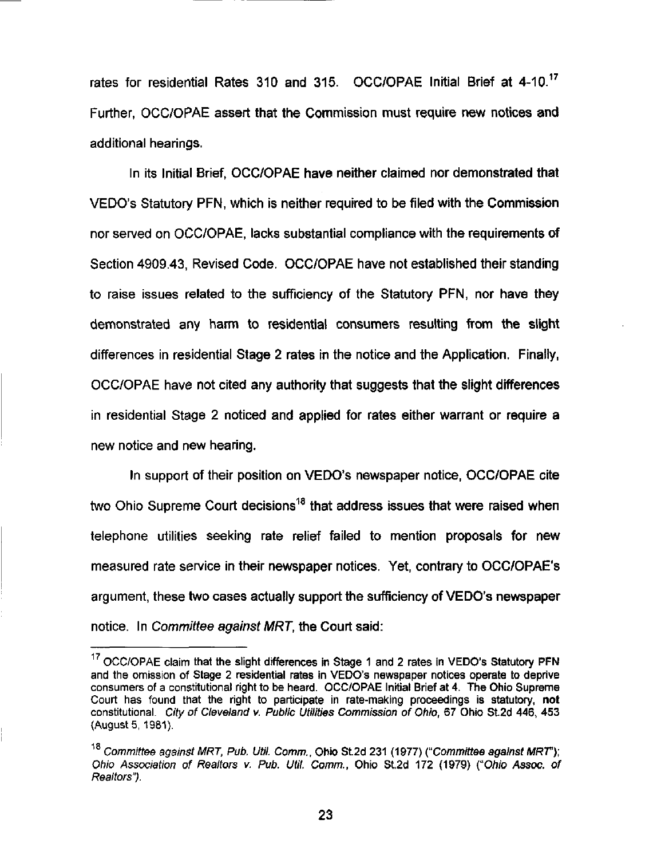rates for residential Rates 310 and 315. OCC/OPAE Initial Brief at 4-10.<sup>17</sup> Further, OCC/OPAE assert that the Commission must require new notices and additional hearings.

In its Initial Brief, OCC/OPAE have neither claimed nor demonstrated that VEDO's Statutory PFN, which is neither required to be filed with the Commission nor served on OCC/OPAE, lacks substantial compliance with the requirements of Section 4909.43, Revised Code. OCC/OPAE have not established their standing to raise issues related to the sufficiency of the Statutory PFN, nor have they demonstrated any harm to residential consumers resulting from the slight differences in residential Stage 2 rates in the notice and the Application. Finally, OCC/OPAE have not cited any authority that suggests that the slight differences in residential Stage 2 noticed and applied for rates either warrant or require a new notice and new hearing.

In support of their posifion on VEDO's newspaper notice, OCC/OPAE cite two Ohio Supreme Court decisions<sup>18</sup> that address issues that were raised when telephone utilities seeking rate relief failed to mention proposals for new measured rate service in their newspaper notices. Yet, contrary to OCC/OPAE's argument, these two cases actually support the sufficiency of VEDO's newspaper notice. In Committee against MRT, the Court said:

<sup>&</sup>lt;sup>17</sup> OCC/OPAE claim that the slight differences in Stage 1 and 2 rates in VEDO's Statutory PFN and the omission of Stage 2 residential rates in VEDO's newspaper notices operate to deprive consumers of a constitutional right to be heard. OCC/OPAE Initial Brief at 4. The Ohio Supreme Court has found that the right to participate in rate-making proceedings is statutory, not constitutional. City of Cleveland v. Public Utilities Commission of Ohio, 67 Ohio St.2d 446, 453 (August 5, 1981).

 $^{18}$  Committee against MRT, Pub. Util. Comm., Ohio St.2d 231 (1977) ("Committee against MRT"); Ohio Association of Realtors v. Pub. Util. Comm., Ohio St.2d 172 (1979) (''Ohio Assoc, of Realtors").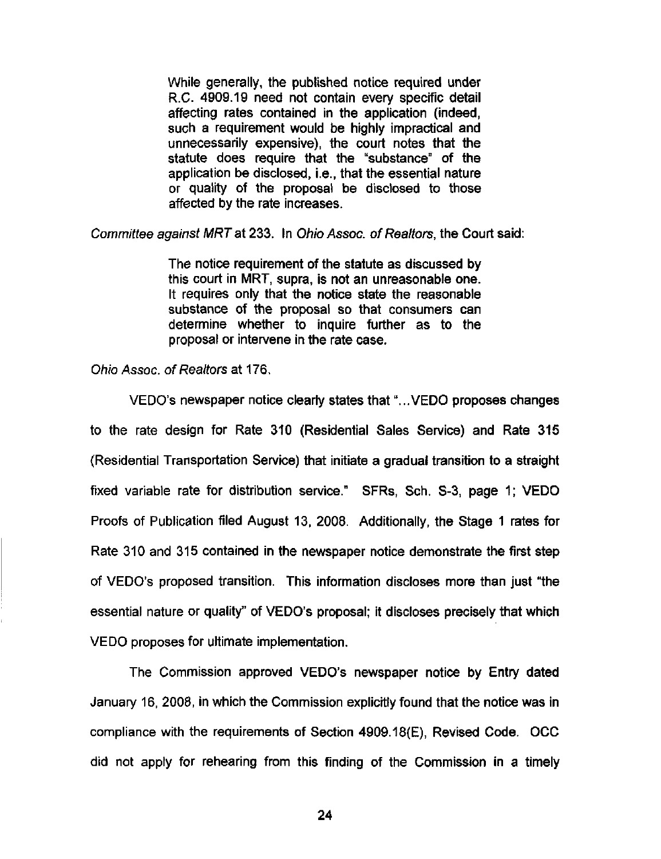While generally, the published notice required under R.C. 4909.19 need not contain every specific detail affecting rates contained in the application (indeed, such a requirement would be highly impractical and unnecessarily expensive), the court notes that the statute does require that the "substance" of the application be disclosed, i.e., that the essential nature or quality of the proposal be disclosed to those affected by the rate increases.

Committee against MRT at 233. In Ohio Assoc, of Realtors, the Court said:

The notice requirement of the statute as discussed by this court in MRT, supra, is not an unreasonable one. It requires only that the notice state the reasonable substance of the proposal so that consumers can determine whether to inquire further as to the proposal or intervene in the rate case.

Ohio Assoc, of Realtors at 176.

VEDO's newspaper notice clearly states that "...VEDO proposes changes to the rate design for Rate 310 (Residential Sales Service) and Rate 315 (Residential Transportation Service) that Initiate a gradual transition to a straight fixed variable rate for distribution service." SFRs, Sch. S-3, page 1; VEDO Proofs of Publication filed August 13, 2008. Additionally, the Stage 1 rates for Rate 310 and 315 contained in the newspaper notice demonstrate the first step of VEDO's proposed transition. This information discloses more than just "the essential nature or quality" of VEDO's proposal; it discloses precisely that which VEDO proposes for ultimate implementation.

The Commission approved VEDO's newspaper notice by Entry dated January 16, 2008, in which the Commission explicitly found that the notice was in compliance with the requirements of Section 4909.18(E), Revised Code. OCC did not apply for rehearing from this finding of the Commission in a timely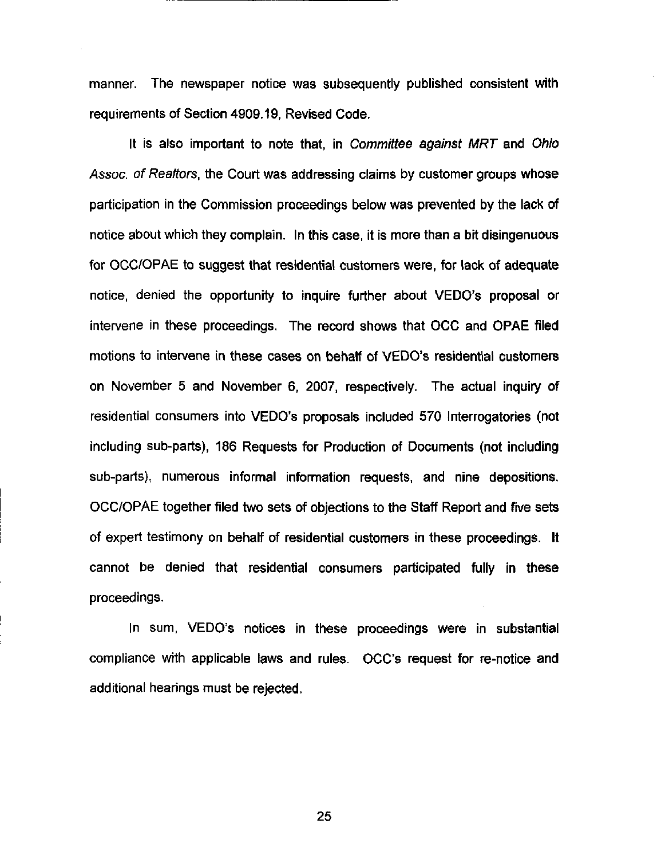manner. The newspaper notice was subsequently published consistent with requirements of Section 4909.19, Revised Code.

It is also important to note that, in Committee against MRT and Ohio Assoc, of Realtors, the Court was addressing claims by customer groups whose participation in the Commission proceedings below was prevented by the lack of notice about which they complain. In this case, it is more than a bit disingenuous for OCC/OPAE to suggest that residential customers were, for lack of adequate notice, denied the opportunity to inquire further about VEDO's proposal or intervene in these proceedings. The record shows that OCC and OPAE filed motions to intervene in these cases on behalf of VEDO's residential customers on November 5 and November 6, 2007, respectively. The actual Inquiry of residential consumers into VEDO's proposals included 570 Interrogatories (not including sub-parts), 186 Requests for Production of Documents (not including sub-parts), numerous informal information requests, and nine depositions. OCC/OPAE together filed two sets of objections to the Staff Report and five sets of expert testimony on behalf of residential customers in these proceedings. It cannot be denied that residential consumers participated fully in these proceedings.

In sum, VEDO's notices in these proceedings were in substantial compliance with applicable laws and rules. OCC's request for re-notice and additional hearings must be rejected.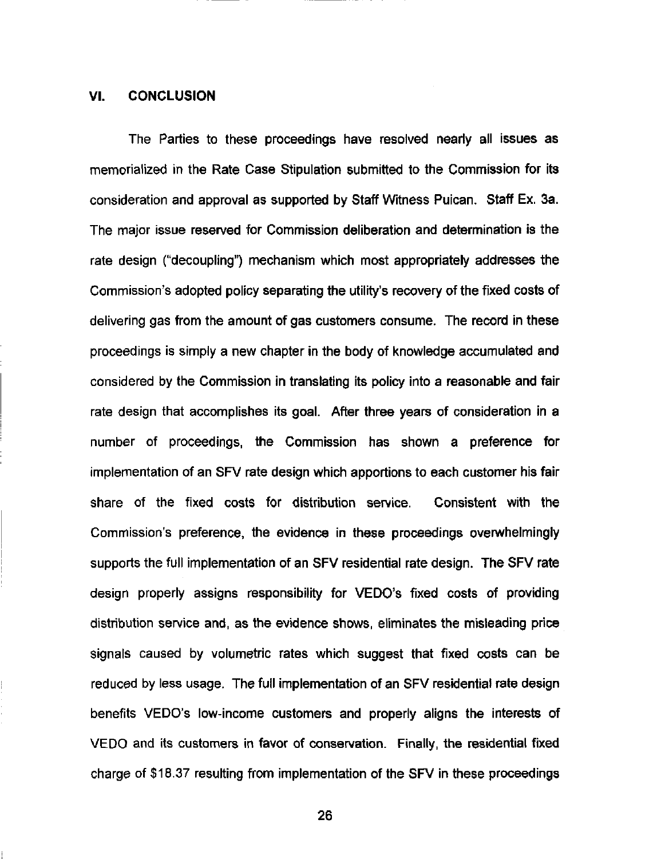#### VI. CONCLUSION

The Parties to these proceedings have resolved nearly all issues as memorialized in the Rate Case Stipulation submitted to the Commission for its consideration and approval as supported by Staff Witness Puican. Staff Ex. 3a. The major issue reserved for Commission deliberation and determination is the rate design ("decoupling") mechanism which most appropriately addresses the Commission's adopted policy separating the utility's recovery of the fixed costs of delivering gas from the amount of gas customers consume. The record in these proceedings is simply a new chapter in the body of knowledge accumulated and considered by the Commission in translating its policy into a reasonable and fair rate design that accomplishes its goal. After three years of consideration in a number of proceedings, the Commission has shown a preference for implementation of an SFV rate design which apportions to each customer his fair share of the fixed costs for distribution service. Consistent with the Commission's preference, the evidence in these proceedings overwhelmingly supports the full implementation of an SFV residential rate design. The SFV rate design properly assigns responsibility for VEDO's fixed costs of providing distribution service and, as the evidence shows, eliminates the misleading price signals caused by volumetric rates which suggest that fixed costs can be reduced by less usage. The full implementation of an SFV residential rate design benefits VEDO's low-income customers and properiy aligns the interests of VEDO and its customers in favor of conservation. Finally, the residential fixed charge of \$18.37 resulting from implementation of the SFV in these proceedings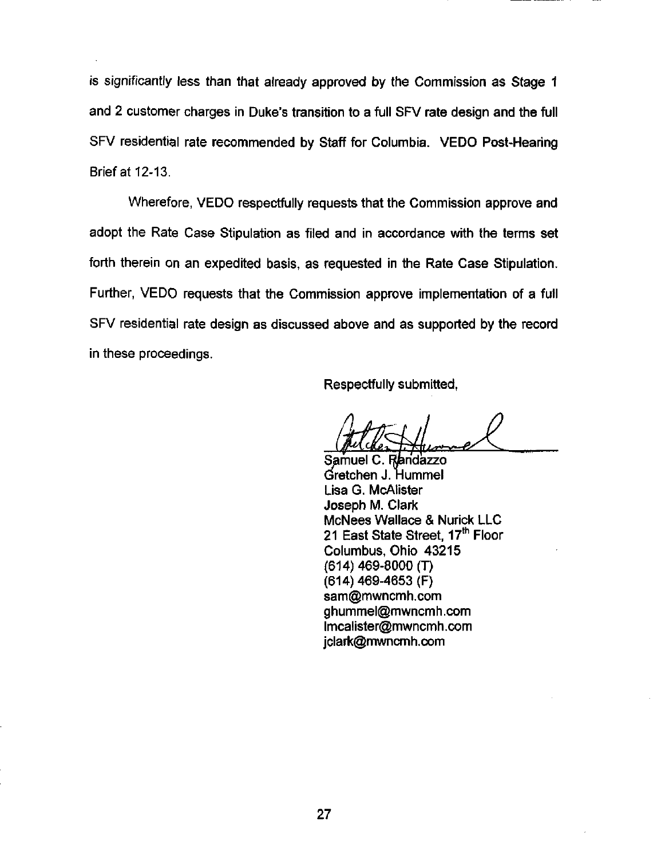is significantly less than that already approved by the Commission as Stage 1 and 2 customer charges in Duke's transition to a full SFV rate design and the full SFV residential rate recommended by Staff for Columbia. VEDO Post-Hearing Brief at 12-13.

Wherefore, VEDO respectfully requests that the Commission approve and adopt the Rate Case Stipulation as filed and in accordance with the tenns set forth therein on an expedited basis, as requested in the Rate Case Stipulation. Further, VEDO requests that the Commission approve implementation of a full SFV residential rate design as discussed above and as supported by the record in these proceedings.

Respectfully submitted,

Autheritation

Gretchen J. Hummel Lisa G. McAlister Joseph M. Clark McNees Wallace & Nurick LLC 21 East State Street, 17<sup>th</sup> Floor Columbus, Ohio 43215 (614) 469-8000 (T) (614) 469-4653 (F) [sam@mwncmh.com](mailto:sam@mwncmh.com) [ghummel@mwncmh.com](mailto:ghummel@mwncmh.com)  [lmcalister@mwncmh.com](mailto:lmcalister@mwncmh.com)  [jclark@mwncmh.com](mailto:jclark@mwncmh.com)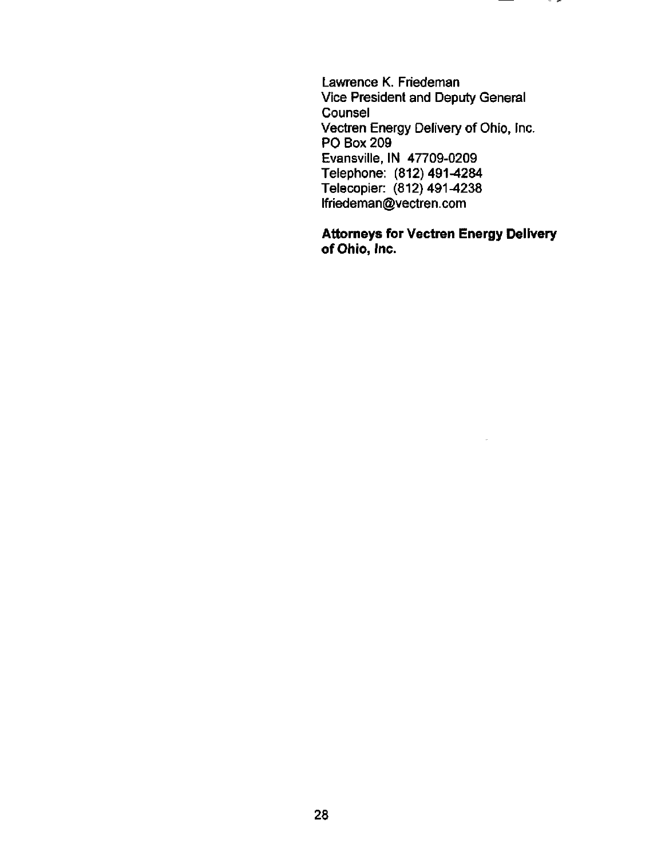Lawrence K. Friedeman Vice President and Deputy General Counsel Vectren Energy Delivery of Ohio, Inc. PO Box 209 Evansville, IN 47709-0209 Telephone: (812)491-4284 Telecopier: (812)491-4238 [lfriedeman@vectren.com](mailto:lfriedeman@vectren.com) 

ິ∽

Attorneys for Vectren Energy Delivery of Ohio, Inc.